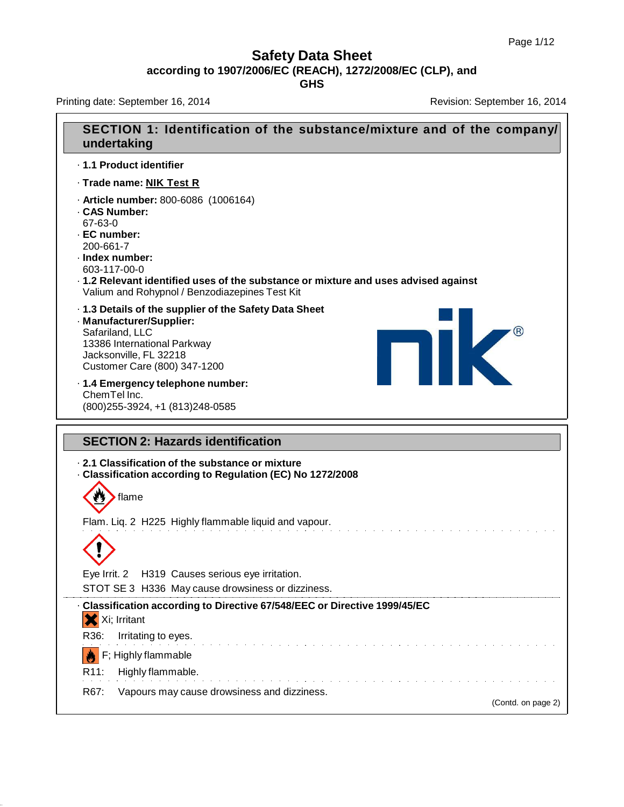Printing date: September 16, 2014 **Revision: September 16, 2014** Revision: September 16, 2014

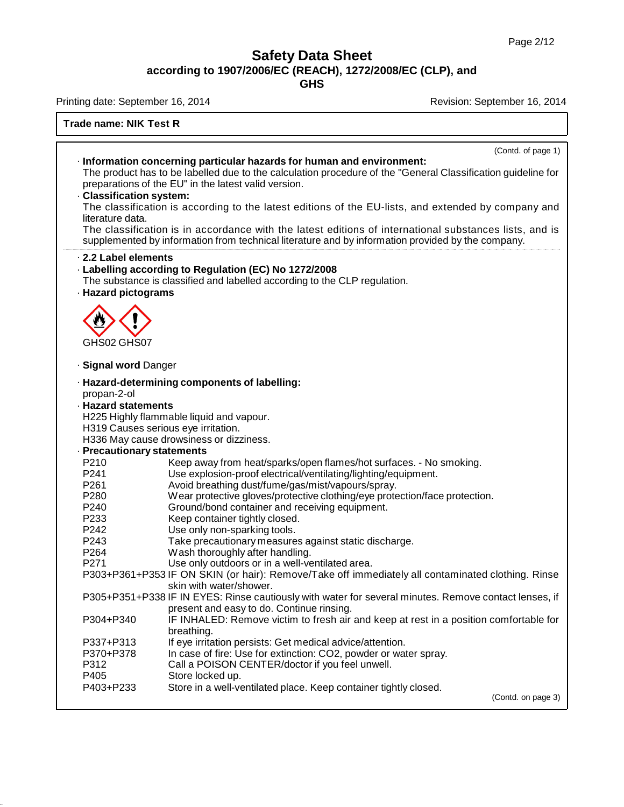**GHS**

Printing date: September 16, 2014 **Revision: September 16, 2014** Revision: September 16, 2014

**Trade name: NIK Test R**

|                            | (Contd. of page 1)                                                                                           |
|----------------------------|--------------------------------------------------------------------------------------------------------------|
|                            | · Information concerning particular hazards for human and environment:                                       |
|                            | The product has to be labelled due to the calculation procedure of the "General Classification guideline for |
|                            | preparations of the EU" in the latest valid version.                                                         |
| - Classification system:   |                                                                                                              |
|                            | The classification is according to the latest editions of the EU-lists, and extended by company and          |
| literature data.           |                                                                                                              |
|                            | The classification is in accordance with the latest editions of international substances lists, and is       |
|                            | supplemented by information from technical literature and by information provided by the company.            |
| 2.2 Label elements         |                                                                                                              |
|                            | · Labelling according to Regulation (EC) No 1272/2008                                                        |
|                            | The substance is classified and labelled according to the CLP regulation.                                    |
| · Hazard pictograms        |                                                                                                              |
|                            |                                                                                                              |
|                            |                                                                                                              |
|                            |                                                                                                              |
|                            |                                                                                                              |
| GHS02 GHS07                |                                                                                                              |
|                            |                                                                                                              |
| · Signal word Danger       |                                                                                                              |
|                            | · Hazard-determining components of labelling:                                                                |
| propan-2-ol                |                                                                                                              |
| <b>· Hazard statements</b> |                                                                                                              |
|                            | H225 Highly flammable liquid and vapour.                                                                     |
|                            | H319 Causes serious eye irritation.                                                                          |
|                            | H336 May cause drowsiness or dizziness.                                                                      |
| · Precautionary statements |                                                                                                              |
| P210                       | Keep away from heat/sparks/open flames/hot surfaces. - No smoking.                                           |
| P241                       | Use explosion-proof electrical/ventilating/lighting/equipment.                                               |
| P261                       | Avoid breathing dust/fume/gas/mist/vapours/spray.                                                            |
| P280                       | Wear protective gloves/protective clothing/eye protection/face protection.                                   |
| P240                       | Ground/bond container and receiving equipment.                                                               |
| P233                       | Keep container tightly closed.                                                                               |
| P242                       | Use only non-sparking tools.                                                                                 |
| P243                       | Take precautionary measures against static discharge.                                                        |
| P264                       | Wash thoroughly after handling.                                                                              |
| P271                       | Use only outdoors or in a well-ventilated area.                                                              |
|                            | P303+P361+P353 IF ON SKIN (or hair): Remove/Take off immediately all contaminated clothing. Rinse            |
|                            | skin with water/shower.                                                                                      |
|                            | P305+P351+P338 IF IN EYES: Rinse cautiously with water for several minutes. Remove contact lenses, if        |
|                            | present and easy to do. Continue rinsing.                                                                    |
| P304+P340                  | IF INHALED: Remove victim to fresh air and keep at rest in a position comfortable for                        |
|                            | breathing.                                                                                                   |
| P337+P313                  | If eye irritation persists: Get medical advice/attention.                                                    |
| P370+P378                  | In case of fire: Use for extinction: CO2, powder or water spray.                                             |
| P312                       | Call a POISON CENTER/doctor if you feel unwell.                                                              |
| P405                       | Store locked up.                                                                                             |
| P403+P233                  | Store in a well-ventilated place. Keep container tightly closed.                                             |
|                            | (Contd. on page 3)                                                                                           |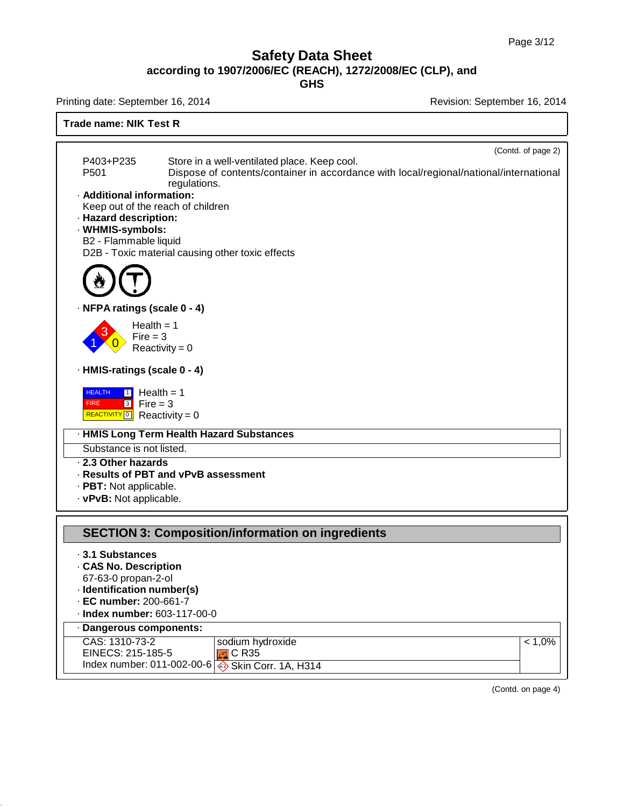**GHS**

Index number: 011-002-00-6



Skin Corr. 1A, H314

(Contd. on page 4)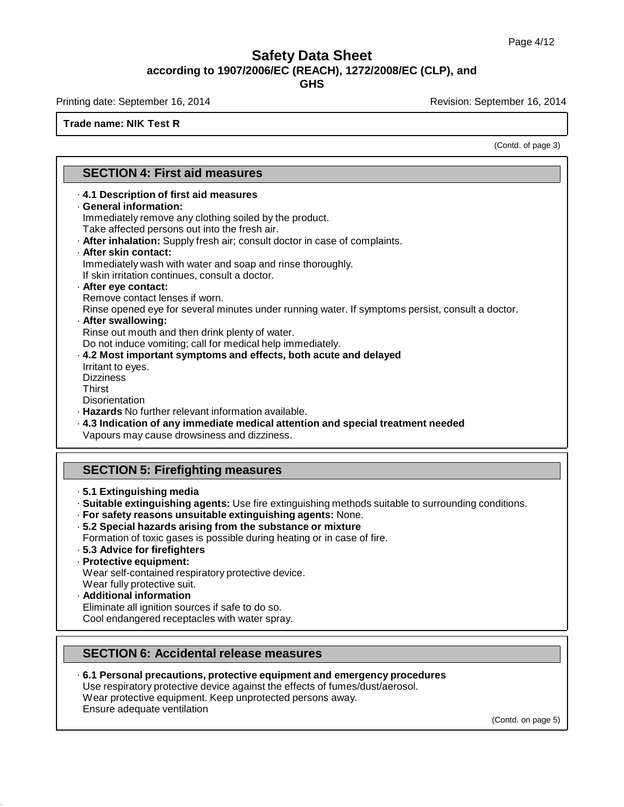**GHS**

Printing date: September 16, 2014 **Revision: September 16, 2014** Revision: September 16, 2014

### **Trade name: NIK Test R**

(Contd. of page 3)

### **SECTION 4: First aid measures**

- · **4.1 Description of first aid measures**
- · **General information:**

Immediately remove any clothing soiled by the product. Take affected persons out into the fresh air.

· **After inhalation:** Supply fresh air; consult doctor in case of complaints.

# · **After skin contact:**

Immediately wash with water and soap and rinse thoroughly.

If skin irritation continues, consult a doctor.

# · **After eye contact:**

Remove contact lenses if worn.

Rinse opened eye for several minutes under running water. If symptoms persist, consult a doctor.

### · **After swallowing:**

Rinse out mouth and then drink plenty of water.

Do not induce vomiting; call for medical help immediately.

- · **4.2 Most important symptoms and effects, both acute and delayed** Irritant to eyes.
- **Dizziness Thirst**

**Disorientation** 

- · **Hazards** No further relevant information available.
- · **4.3 Indication of any immediate medical attention and special treatment needed** Vapours may cause drowsiness and dizziness.

### **SECTION 5: Firefighting measures**

- · **5.1 Extinguishing media**
- · **Suitable extinguishing agents:** Use fire extinguishing methods suitable to surrounding conditions.
- · **For safety reasons unsuitable extinguishing agents:** None.
- · **5.2 Special hazards arising from the substance or mixture**
- Formation of toxic gases is possible during heating or in case of fire.
- · **5.3 Advice for firefighters**
- · **Protective equipment:**

Wear self-contained respiratory protective device.

### Wear fully protective suit.

· **Additional information**

Eliminate all ignition sources if safe to do so. Cool endangered receptacles with water spray.

## **SECTION 6: Accidental release measures**

· **6.1 Personal precautions, protective equipment and emergency procedures** Use respiratory protective device against the effects of fumes/dust/aerosol. Wear protective equipment. Keep unprotected persons away.

Ensure adequate ventilation

(Contd. on page 5)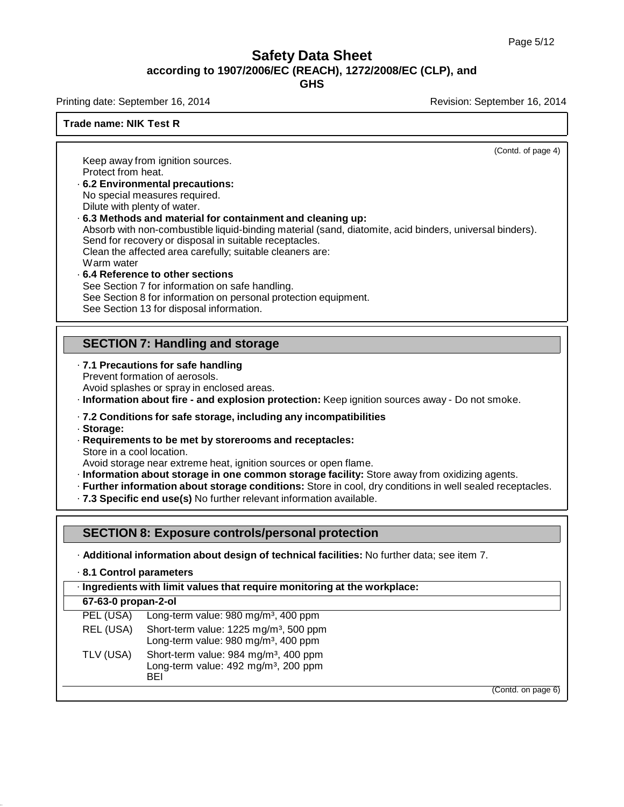(Contd. of page 4)

### **Safety Data Sheet according to 1907/2006/EC (REACH), 1272/2008/EC (CLP), and GHS**

Printing date: September 16, 2014 **Revision: September 16, 2014** Revision: September 16, 2014

### **Trade name: NIK Test R**

Keep away from ignition sources. Protect from heat.

- · **6.2 Environmental precautions:** No special measures required. Dilute with plenty of water.
- · **6.3 Methods and material for containment and cleaning up:** Absorb with non-combustible liquid-binding material (sand, diatomite, acid binders, universal binders). Send for recovery or disposal in suitable receptacles. Clean the affected area carefully; suitable cleaners are: Warm water · **6.4 Reference to other sections**
- See Section 7 for information on safe handling. See Section 8 for information on personal protection equipment. See Section 13 for disposal information.

### **SECTION 7: Handling and storage**

- · **7.1 Precautions for safe handling** Prevent formation of aerosols. Avoid splashes or spray in enclosed areas.
- · **Information about fire - and explosion protection:** Keep ignition sources away Do not smoke.

### · **7.2 Conditions for safe storage, including any incompatibilities**

- · **Storage:**
- · **Requirements to be met by storerooms and receptacles:** Store in a cool location.

Avoid storage near extreme heat, ignition sources or open flame.

- · **Information about storage in one common storage facility:** Store away from oxidizing agents.
- · **Further information about storage conditions:** Store in cool, dry conditions in well sealed receptacles.
- · **7.3 Specific end use(s)** No further relevant information available.

### **SECTION 8: Exposure controls/personal protection**

· **Additional information about design of technical facilities:** No further data; see item 7.

· **8.1 Control parameters**

### · **Ingredients with limit values that require monitoring at the workplace:**

### **67-63-0 propan-2-ol**

| PEL (USA) | Long-term value: 980 mg/m <sup>3</sup> , 400 ppm                                                                    |
|-----------|---------------------------------------------------------------------------------------------------------------------|
| REL (USA) | Short-term value: 1225 mg/m <sup>3</sup> , 500 ppm<br>Long-term value: 980 mg/m <sup>3</sup> , 400 ppm              |
| TLV (USA) | Short-term value: 984 mg/m <sup>3</sup> , 400 ppm<br>Long-term value: 492 mg/m <sup>3</sup> , 200 ppm<br><b>RFI</b> |
|           |                                                                                                                     |

(Contd. on page 6)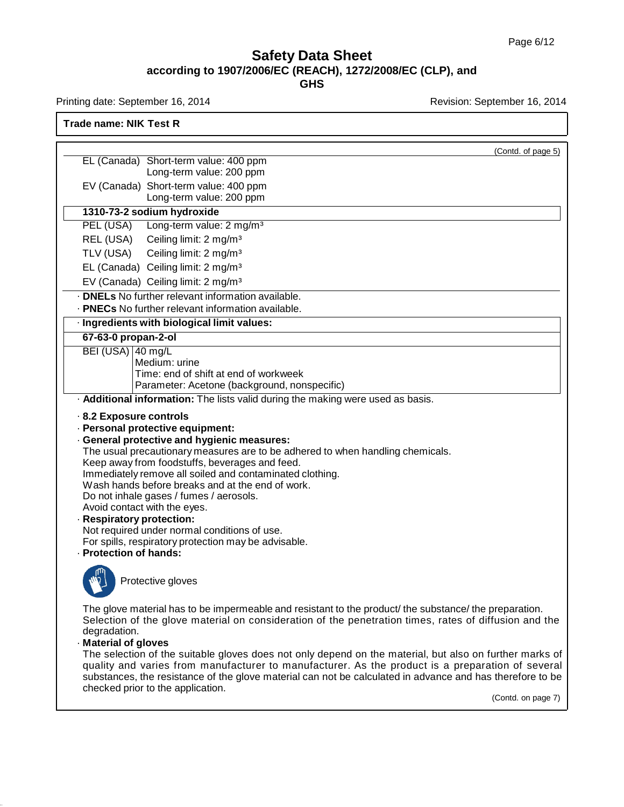Printing date: September 16, 2014 **Revision: September 16, 2014** Revision: September 16, 2014

**Trade name: NIK Test R**

| EL (Canada) Short-term value: 400 ppm<br>Long-term value: 200 ppm<br>EV (Canada) Short-term value: 400 ppm<br>Long-term value: 200 ppm<br>1310-73-2 sodium hydroxide<br>Long-term value: 2 mg/m <sup>3</sup><br>PEL (USA)<br>Ceiling limit: 2 mg/m <sup>3</sup><br>REL (USA)<br>TLV (USA)<br>Ceiling limit: 2 mg/m <sup>3</sup><br>EL (Canada) Ceiling limit: 2 mg/m <sup>3</sup><br>EV (Canada) Ceiling limit: 2 mg/m <sup>3</sup><br>· <b>DNELs</b> No further relevant information available.<br>. PNECs No further relevant information available.<br>· Ingredients with biological limit values:<br>67-63-0 propan-2-ol<br>BEI (USA) 40 mg/L<br>Medium: urine<br>Time: end of shift at end of workweek<br>Parameter: Acetone (background, nonspecific)<br>. Additional information: The lists valid during the making were used as basis.<br>8.2 Exposure controls<br>· Personal protective equipment:<br>· General protective and hygienic measures:<br>The usual precautionary measures are to be adhered to when handling chemicals.<br>Keep away from foodstuffs, beverages and feed.<br>Immediately remove all soiled and contaminated clothing.<br>Wash hands before breaks and at the end of work.<br>Do not inhale gases / fumes / aerosols.<br>Avoid contact with the eyes.<br>· Respiratory protection:<br>Not required under normal conditions of use.<br>For spills, respiratory protection may be advisable.<br>· Protection of hands:<br>Protective gloves<br>The glove material has to be impermeable and resistant to the product/ the substance/ the preparation.<br>Selection of the glove material on consideration of the penetration times, rates of diffusion and the<br>degradation.<br>· Material of gloves<br>The selection of the suitable gloves does not only depend on the material, but also on further marks of<br>quality and varies from manufacturer to manufacturer. As the product is a preparation of several<br>substances, the resistance of the glove material can not be calculated in advance and has therefore to be<br>checked prior to the application. |  | (Contd. of page 5) |
|-----------------------------------------------------------------------------------------------------------------------------------------------------------------------------------------------------------------------------------------------------------------------------------------------------------------------------------------------------------------------------------------------------------------------------------------------------------------------------------------------------------------------------------------------------------------------------------------------------------------------------------------------------------------------------------------------------------------------------------------------------------------------------------------------------------------------------------------------------------------------------------------------------------------------------------------------------------------------------------------------------------------------------------------------------------------------------------------------------------------------------------------------------------------------------------------------------------------------------------------------------------------------------------------------------------------------------------------------------------------------------------------------------------------------------------------------------------------------------------------------------------------------------------------------------------------------------------------------------------------------------------------------------------------------------------------------------------------------------------------------------------------------------------------------------------------------------------------------------------------------------------------------------------------------------------------------------------------------------------------------------------------------------------------------------------------------------------------------------------|--|--------------------|
|                                                                                                                                                                                                                                                                                                                                                                                                                                                                                                                                                                                                                                                                                                                                                                                                                                                                                                                                                                                                                                                                                                                                                                                                                                                                                                                                                                                                                                                                                                                                                                                                                                                                                                                                                                                                                                                                                                                                                                                                                                                                                                           |  |                    |
|                                                                                                                                                                                                                                                                                                                                                                                                                                                                                                                                                                                                                                                                                                                                                                                                                                                                                                                                                                                                                                                                                                                                                                                                                                                                                                                                                                                                                                                                                                                                                                                                                                                                                                                                                                                                                                                                                                                                                                                                                                                                                                           |  |                    |
|                                                                                                                                                                                                                                                                                                                                                                                                                                                                                                                                                                                                                                                                                                                                                                                                                                                                                                                                                                                                                                                                                                                                                                                                                                                                                                                                                                                                                                                                                                                                                                                                                                                                                                                                                                                                                                                                                                                                                                                                                                                                                                           |  |                    |
|                                                                                                                                                                                                                                                                                                                                                                                                                                                                                                                                                                                                                                                                                                                                                                                                                                                                                                                                                                                                                                                                                                                                                                                                                                                                                                                                                                                                                                                                                                                                                                                                                                                                                                                                                                                                                                                                                                                                                                                                                                                                                                           |  |                    |
|                                                                                                                                                                                                                                                                                                                                                                                                                                                                                                                                                                                                                                                                                                                                                                                                                                                                                                                                                                                                                                                                                                                                                                                                                                                                                                                                                                                                                                                                                                                                                                                                                                                                                                                                                                                                                                                                                                                                                                                                                                                                                                           |  |                    |
|                                                                                                                                                                                                                                                                                                                                                                                                                                                                                                                                                                                                                                                                                                                                                                                                                                                                                                                                                                                                                                                                                                                                                                                                                                                                                                                                                                                                                                                                                                                                                                                                                                                                                                                                                                                                                                                                                                                                                                                                                                                                                                           |  |                    |
|                                                                                                                                                                                                                                                                                                                                                                                                                                                                                                                                                                                                                                                                                                                                                                                                                                                                                                                                                                                                                                                                                                                                                                                                                                                                                                                                                                                                                                                                                                                                                                                                                                                                                                                                                                                                                                                                                                                                                                                                                                                                                                           |  |                    |
|                                                                                                                                                                                                                                                                                                                                                                                                                                                                                                                                                                                                                                                                                                                                                                                                                                                                                                                                                                                                                                                                                                                                                                                                                                                                                                                                                                                                                                                                                                                                                                                                                                                                                                                                                                                                                                                                                                                                                                                                                                                                                                           |  |                    |
|                                                                                                                                                                                                                                                                                                                                                                                                                                                                                                                                                                                                                                                                                                                                                                                                                                                                                                                                                                                                                                                                                                                                                                                                                                                                                                                                                                                                                                                                                                                                                                                                                                                                                                                                                                                                                                                                                                                                                                                                                                                                                                           |  |                    |
|                                                                                                                                                                                                                                                                                                                                                                                                                                                                                                                                                                                                                                                                                                                                                                                                                                                                                                                                                                                                                                                                                                                                                                                                                                                                                                                                                                                                                                                                                                                                                                                                                                                                                                                                                                                                                                                                                                                                                                                                                                                                                                           |  |                    |
|                                                                                                                                                                                                                                                                                                                                                                                                                                                                                                                                                                                                                                                                                                                                                                                                                                                                                                                                                                                                                                                                                                                                                                                                                                                                                                                                                                                                                                                                                                                                                                                                                                                                                                                                                                                                                                                                                                                                                                                                                                                                                                           |  |                    |
|                                                                                                                                                                                                                                                                                                                                                                                                                                                                                                                                                                                                                                                                                                                                                                                                                                                                                                                                                                                                                                                                                                                                                                                                                                                                                                                                                                                                                                                                                                                                                                                                                                                                                                                                                                                                                                                                                                                                                                                                                                                                                                           |  |                    |
|                                                                                                                                                                                                                                                                                                                                                                                                                                                                                                                                                                                                                                                                                                                                                                                                                                                                                                                                                                                                                                                                                                                                                                                                                                                                                                                                                                                                                                                                                                                                                                                                                                                                                                                                                                                                                                                                                                                                                                                                                                                                                                           |  |                    |
|                                                                                                                                                                                                                                                                                                                                                                                                                                                                                                                                                                                                                                                                                                                                                                                                                                                                                                                                                                                                                                                                                                                                                                                                                                                                                                                                                                                                                                                                                                                                                                                                                                                                                                                                                                                                                                                                                                                                                                                                                                                                                                           |  |                    |
|                                                                                                                                                                                                                                                                                                                                                                                                                                                                                                                                                                                                                                                                                                                                                                                                                                                                                                                                                                                                                                                                                                                                                                                                                                                                                                                                                                                                                                                                                                                                                                                                                                                                                                                                                                                                                                                                                                                                                                                                                                                                                                           |  |                    |
|                                                                                                                                                                                                                                                                                                                                                                                                                                                                                                                                                                                                                                                                                                                                                                                                                                                                                                                                                                                                                                                                                                                                                                                                                                                                                                                                                                                                                                                                                                                                                                                                                                                                                                                                                                                                                                                                                                                                                                                                                                                                                                           |  |                    |
|                                                                                                                                                                                                                                                                                                                                                                                                                                                                                                                                                                                                                                                                                                                                                                                                                                                                                                                                                                                                                                                                                                                                                                                                                                                                                                                                                                                                                                                                                                                                                                                                                                                                                                                                                                                                                                                                                                                                                                                                                                                                                                           |  |                    |
|                                                                                                                                                                                                                                                                                                                                                                                                                                                                                                                                                                                                                                                                                                                                                                                                                                                                                                                                                                                                                                                                                                                                                                                                                                                                                                                                                                                                                                                                                                                                                                                                                                                                                                                                                                                                                                                                                                                                                                                                                                                                                                           |  |                    |
|                                                                                                                                                                                                                                                                                                                                                                                                                                                                                                                                                                                                                                                                                                                                                                                                                                                                                                                                                                                                                                                                                                                                                                                                                                                                                                                                                                                                                                                                                                                                                                                                                                                                                                                                                                                                                                                                                                                                                                                                                                                                                                           |  |                    |
|                                                                                                                                                                                                                                                                                                                                                                                                                                                                                                                                                                                                                                                                                                                                                                                                                                                                                                                                                                                                                                                                                                                                                                                                                                                                                                                                                                                                                                                                                                                                                                                                                                                                                                                                                                                                                                                                                                                                                                                                                                                                                                           |  |                    |
|                                                                                                                                                                                                                                                                                                                                                                                                                                                                                                                                                                                                                                                                                                                                                                                                                                                                                                                                                                                                                                                                                                                                                                                                                                                                                                                                                                                                                                                                                                                                                                                                                                                                                                                                                                                                                                                                                                                                                                                                                                                                                                           |  | (Contd. on page 7) |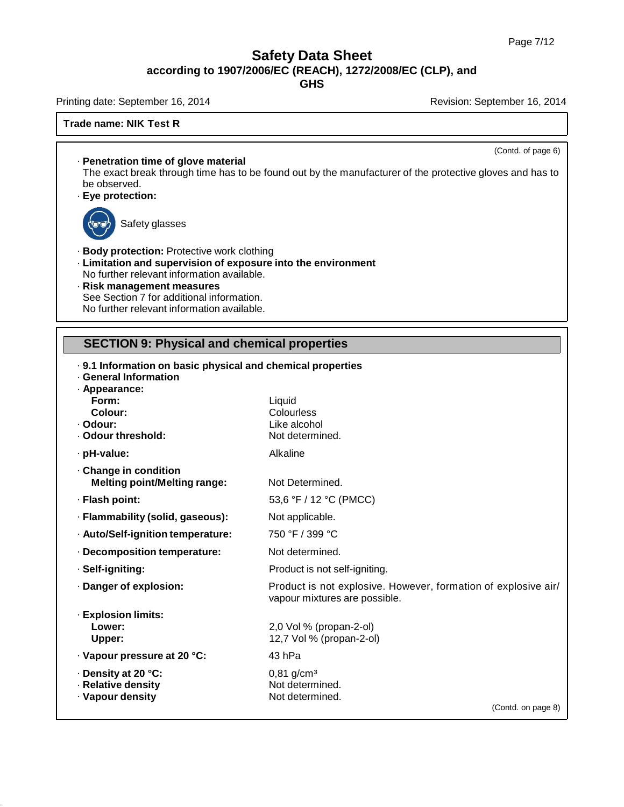**GHS**

Printing date: September 16, 2014 **Revision: September 16, 2014** Revision: September 16, 2014

### **Trade name: NIK Test R**

(Contd. of page 6)

· **Penetration time of glove material** The exact break through time has to be found out by the manufacturer of the protective gloves and has to be observed.

· **Eye protection:**



Safety glasses

- · **Body protection:** Protective work clothing
- · **Limitation and supervision of exposure into the environment** No further relevant information available.
- · **Risk management measures** See Section 7 for additional information. No further relevant information available.

# **SECTION 9: Physical and chemical properties**

| <b>General Information</b>          | . 9.1 Information on basic physical and chemical properties                                     |  |  |
|-------------------------------------|-------------------------------------------------------------------------------------------------|--|--|
| · Appearance:                       |                                                                                                 |  |  |
| Form:                               | Liquid                                                                                          |  |  |
| Colour:                             | Colourless                                                                                      |  |  |
| · Odour:                            | Like alcohol                                                                                    |  |  |
| · Odour threshold:                  | Not determined.                                                                                 |  |  |
| · pH-value:                         | Alkaline                                                                                        |  |  |
| Change in condition                 |                                                                                                 |  |  |
| <b>Melting point/Melting range:</b> | Not Determined.                                                                                 |  |  |
| · Flash point:                      | 53,6 °F / 12 °C (PMCC)                                                                          |  |  |
| · Flammability (solid, gaseous):    | Not applicable.                                                                                 |  |  |
| · Auto/Self-ignition temperature:   | 750 °F / 399 °C                                                                                 |  |  |
| · Decomposition temperature:        | Not determined.                                                                                 |  |  |
| · Self-igniting:                    | Product is not self-igniting.                                                                   |  |  |
| Danger of explosion:                | Product is not explosive. However, formation of explosive air/<br>vapour mixtures are possible. |  |  |
| · Explosion limits:                 |                                                                                                 |  |  |
| Lower:                              | 2,0 Vol % (propan-2-ol)                                                                         |  |  |
| <b>Upper:</b>                       | 12,7 Vol % (propan-2-ol)                                                                        |  |  |
| · Vapour pressure at 20 °C:         | 43 <sub>hPa</sub>                                                                               |  |  |
| ⋅ Density at 20 °C:                 | $0,81$ g/cm <sup>3</sup>                                                                        |  |  |
| · Relative density                  | Not determined.                                                                                 |  |  |
| · Vapour density                    | Not determined.                                                                                 |  |  |
|                                     | (Contd. on page 8)                                                                              |  |  |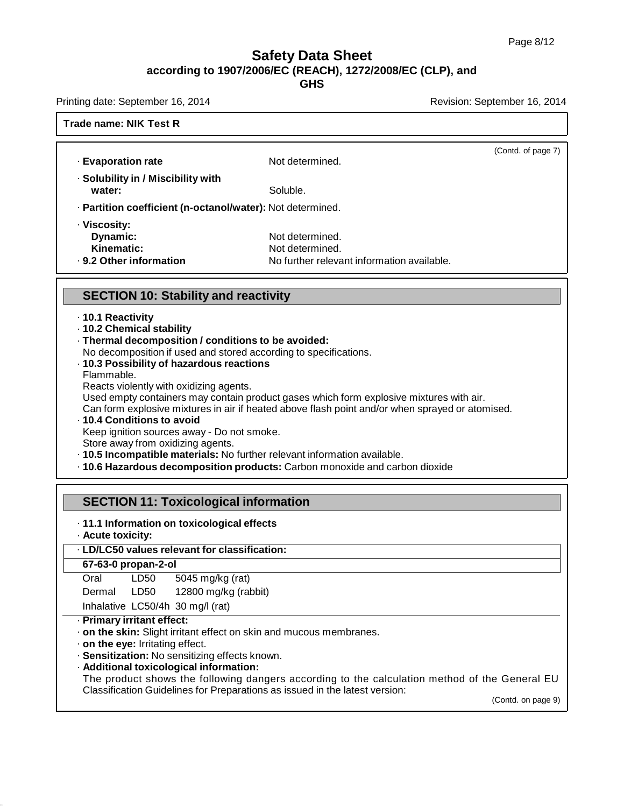**GHS**

Printing date: September 16, 2014 **Revision: September 16, 2014** Revision: September 16, 2014

### **Trade name: NIK Test R**

| · Evaporation rate                                         | Not determined.                            | (Contd. of page 7) |
|------------------------------------------------------------|--------------------------------------------|--------------------|
| · Solubility in / Miscibility with<br>water:               | Soluble.                                   |                    |
| · Partition coefficient (n-octanol/water): Not determined. |                                            |                    |
| · Viscosity:                                               |                                            |                    |
| Dynamic:                                                   | Not determined.                            |                    |
| Kinematic:                                                 | Not determined.                            |                    |
| ⋅ 9.2 Other information                                    | No further relevant information available. |                    |
|                                                            |                                            |                    |
| <b>SECTION 10: Stability and reactivity</b>                |                                            |                    |
|                                                            |                                            |                    |

- · **10.1 Reactivity**
- · **10.2 Chemical stability**
- · **Thermal decomposition / conditions to be avoided:**
- No decomposition if used and stored according to specifications.
- · **10.3 Possibility of hazardous reactions**
- Flammable.

Reacts violently with oxidizing agents.

Used empty containers may contain product gases which form explosive mixtures with air.

Can form explosive mixtures in air if heated above flash point and/or when sprayed or atomised.

### · **10.4 Conditions to avoid** Keep ignition sources away - Do not smoke. Store away from oxidizing agents.

- · **10.5 Incompatible materials:** No further relevant information available.
- · **10.6 Hazardous decomposition products:** Carbon monoxide and carbon dioxide

### **SECTION 11: Toxicological information**

- · **11.1 Information on toxicological effects**
- · **Acute toxicity:**

### · **LD/LC50 values relevant for classification:**

### **67-63-0 propan-2-ol**

| Oral | LD50                 | 5045 mg/kg (rat) |   |
|------|----------------------|------------------|---|
|      | $\sim$ $\sim$ $\sim$ | 1.0000           | . |

Dermal LD50 12800 mg/kg (rabbit)

Inhalative LC50/4h 30 mg/l (rat)

### · **Primary irritant effect:**

- · **on the skin:** Slight irritant effect on skin and mucous membranes.
- · **on the eye:** Irritating effect.
- · **Sensitization:** No sensitizing effects known.
- · **Additional toxicological information:**

The product shows the following dangers according to the calculation method of the General EU Classification Guidelines for Preparations as issued in the latest version:

(Contd. on page 9)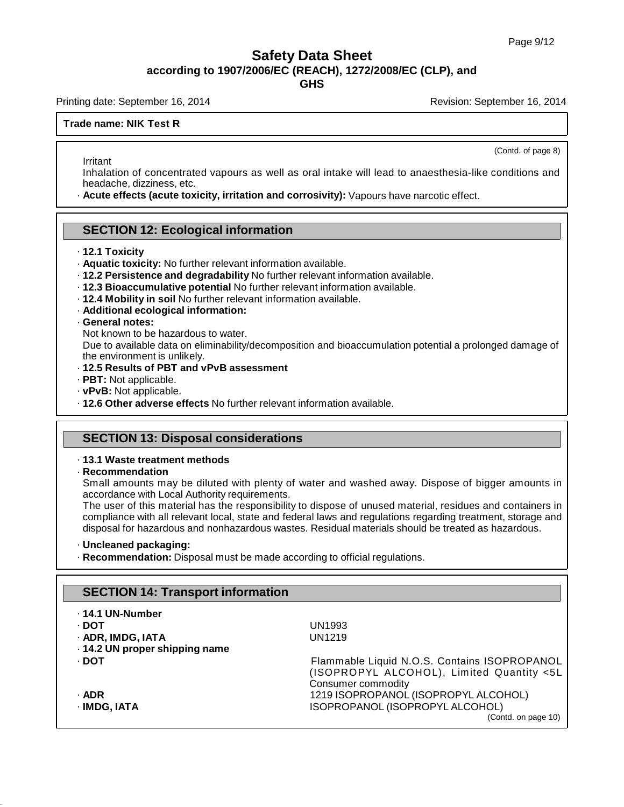**GHS**

Printing date: September 16, 2014 **Revision: September 16, 2014** Revision: September 16, 2014

### **Trade name: NIK Test R**

(Contd. of page 8)

Irritant Inhalation of concentrated vapours as well as oral intake will lead to anaesthesia-like conditions and headache, dizziness, etc.

· **Acute effects (acute toxicity, irritation and corrosivity):** Vapours have narcotic effect.

### **SECTION 12: Ecological information**

- · **12.1 Toxicity**
- · **Aquatic toxicity:** No further relevant information available.
- · **12.2 Persistence and degradability** No further relevant information available.
- · **12.3 Bioaccumulative potential** No further relevant information available.
- · **12.4 Mobility in soil** No further relevant information available.
- · **Additional ecological information:**

### · **General notes:**

Not known to be hazardous to water.

Due to available data on eliminability/decomposition and bioaccumulation potential a prolonged damage of the environment is unlikely.

- · **12.5 Results of PBT and vPvB assessment**
- · **PBT:** Not applicable.
- · **vPvB:** Not applicable.
- · **12.6 Other adverse effects** No further relevant information available.

### **SECTION 13: Disposal considerations**

### · **13.1 Waste treatment methods**

· **Recommendation**

Small amounts may be diluted with plenty of water and washed away. Dispose of bigger amounts in accordance with Local Authority requirements.

The user of this material has the responsibility to dispose of unused material, residues and containers in compliance with all relevant local, state and federal laws and regulations regarding treatment, storage and disposal for hazardous and nonhazardous wastes. Residual materials should be treated as hazardous.

### · **Uncleaned packaging:**

· **Recommendation:** Disposal must be made according to official regulations.

# **SECTION 14: Transport information** · **14.1 UN-Number** · **DOT** UN1993

| · ADR, IMDG, IATA | UN1219 |
|-------------------|--------|
|                   |        |

- · **14.2 UN proper shipping name**
- -
	-

· **DOT** Flammable Liquid N.O.S. Contains ISOPROPANOL (ISOPROPYL ALCOHOL), Limited Quantity <5L Consumer commodity · **ADR** 1219 ISOPROPANOL (ISOPROPYL ALCOHOL) · **IMDG, IATA** ISOPROPANOL (ISOPROPYL ALCOHOL)

(Contd. on page 10)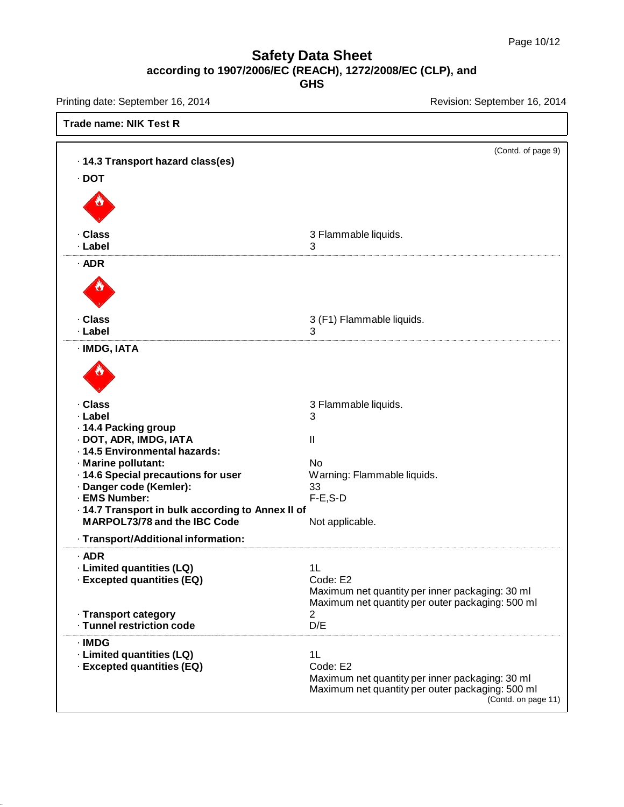Printing date: September 16, 2014 **Revision: September 16, 2014** Revision: September 16, 2014

| <b>Trade name: NIK Test R</b>                                                                                                                                                                                                                                                                        |                                                                                                                                              |
|------------------------------------------------------------------------------------------------------------------------------------------------------------------------------------------------------------------------------------------------------------------------------------------------------|----------------------------------------------------------------------------------------------------------------------------------------------|
| · 14.3 Transport hazard class(es)<br>$\cdot$ DOT                                                                                                                                                                                                                                                     | (Contd. of page 9)                                                                                                                           |
|                                                                                                                                                                                                                                                                                                      |                                                                                                                                              |
| · Class<br>· Label                                                                                                                                                                                                                                                                                   | 3 Flammable liquids.<br>3                                                                                                                    |
| $·$ ADR                                                                                                                                                                                                                                                                                              |                                                                                                                                              |
| · Class<br>· Label                                                                                                                                                                                                                                                                                   | 3 (F1) Flammable liquids.<br>3                                                                                                               |
| · IMDG, IATA                                                                                                                                                                                                                                                                                         |                                                                                                                                              |
| · Class<br>· Label<br>· 14.4 Packing group<br>· DOT, ADR, IMDG, IATA<br>· 14.5 Environmental hazards:<br>· Marine pollutant:<br>· 14.6 Special precautions for user<br>· Danger code (Kemler):<br>· EMS Number:<br>- 14.7 Transport in bulk according to Annex II of<br>MARPOL73/78 and the IBC Code | 3 Flammable liquids.<br>3<br>$\mathbf{I}$<br>No<br>Warning: Flammable liquids.<br>33<br>$F-E$ , S-D<br>Not applicable.                       |
| · Transport/Additional information:                                                                                                                                                                                                                                                                  |                                                                                                                                              |
| $\cdot$ ADR<br>· Limited quantities (LQ)<br>· Excepted quantities (EQ)                                                                                                                                                                                                                               | 1L<br>Code: E2<br>Maximum net quantity per inner packaging: 30 ml<br>Maximum net quantity per outer packaging: 500 ml                        |
| · Transport category<br>· Tunnel restriction code                                                                                                                                                                                                                                                    | 2<br>D/E                                                                                                                                     |
| $\cdot$ IMDG<br>· Limited quantities (LQ)<br>· Excepted quantities (EQ)                                                                                                                                                                                                                              | 1L<br>Code: E2<br>Maximum net quantity per inner packaging: 30 ml<br>Maximum net quantity per outer packaging: 500 ml<br>(Contd. on page 11) |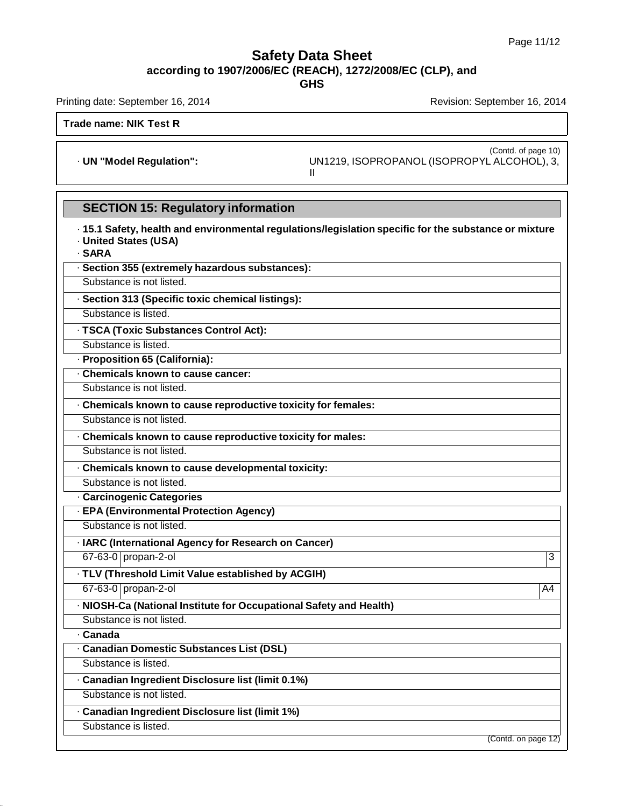**GHS**

Printing date: September 16, 2014 **Revision: September 16, 2014** Revision: September 16, 2014

**Trade name: NIK Test R**

(Contd. of page 10) · **UN "Model Regulation":** UN1219, ISOPROPANOL (ISOPROPYL ALCOHOL), 3, II

# **SECTION 15: Regulatory information**

| · 15.1 Safety, health and environmental regulations/legislation specific for the substance or mixture<br><b>United States (USA)</b><br>· SARA |
|-----------------------------------------------------------------------------------------------------------------------------------------------|
| · Section 355 (extremely hazardous substances):                                                                                               |
| Substance is not listed.                                                                                                                      |
| · Section 313 (Specific toxic chemical listings):                                                                                             |
| Substance is listed.                                                                                                                          |
| · TSCA (Toxic Substances Control Act):                                                                                                        |
| Substance is listed.                                                                                                                          |
| · Proposition 65 (California):                                                                                                                |
| . Chemicals known to cause cancer:                                                                                                            |
| Substance is not listed.                                                                                                                      |
| . Chemicals known to cause reproductive toxicity for females:                                                                                 |
| Substance is not listed.                                                                                                                      |
| · Chemicals known to cause reproductive toxicity for males:                                                                                   |
| Substance is not listed.                                                                                                                      |
| · Chemicals known to cause developmental toxicity:                                                                                            |
| Substance is not listed.                                                                                                                      |
| · Carcinogenic Categories                                                                                                                     |
| · EPA (Environmental Protection Agency)                                                                                                       |
| Substance is not listed.                                                                                                                      |
| · IARC (International Agency for Research on Cancer)                                                                                          |
| 67-63-0 propan-2-ol<br>3                                                                                                                      |
| · TLV (Threshold Limit Value established by ACGIH)                                                                                            |
| 67-63-0 propan-2-ol<br>A4                                                                                                                     |
| · NIOSH-Ca (National Institute for Occupational Safety and Health)                                                                            |
| Substance is not listed.                                                                                                                      |
| · Canada                                                                                                                                      |
| · Canadian Domestic Substances List (DSL)                                                                                                     |
| Substance is listed.                                                                                                                          |
| · Canadian Ingredient Disclosure list (limit 0.1%)                                                                                            |
| Substance is not listed.                                                                                                                      |
| · Canadian Ingredient Disclosure list (limit 1%)                                                                                              |
| Substance is listed.                                                                                                                          |
| (Contd. on page $\overline{12}$ )                                                                                                             |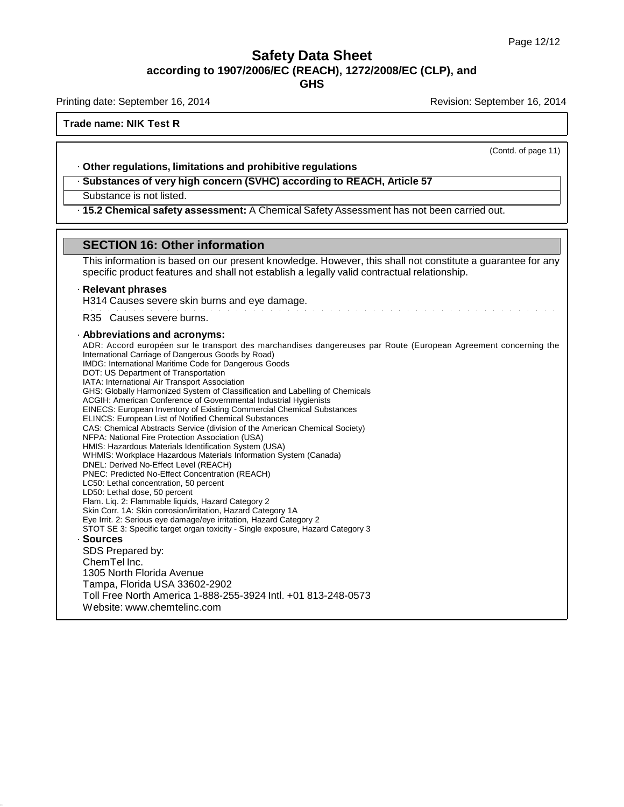**GHS**

Printing date: September 16, 2014 **Revision: September 16, 2014** Revision: September 16, 2014

### **Trade name: NIK Test R**

(Contd. of page 11)

### · **Other regulations, limitations and prohibitive regulations**

· **Substances of very high concern (SVHC) according to REACH, Article 57**

### Substance is not listed.

· **15.2 Chemical safety assessment:** A Chemical Safety Assessment has not been carried out.

### **SECTION 16: Other information**

This information is based on our present knowledge. However, this shall not constitute a guarantee for any specific product features and shall not establish a legally valid contractual relationship.

### · **Relevant phrases**

H314 Causes severe skin burns and eye damage.

R35 Causes severe burns.

### · **Abbreviations and acronyms:**

ADR: Accord européen sur le transport des marchandises dangereuses par Route (European Agreement concerning the International Carriage of Dangerous Goods by Road) IMDG: International Maritime Code for Dangerous Goods DOT: US Department of Transportation IATA: International Air Transport Association GHS: Globally Harmonized System of Classification and Labelling of Chemicals ACGIH: American Conference of Governmental Industrial Hygienists EINECS: European Inventory of Existing Commercial Chemical Substances ELINCS: European List of Notified Chemical Substances CAS: Chemical Abstracts Service (division of the American Chemical Society) NFPA: National Fire Protection Association (USA) HMIS: Hazardous Materials Identification System (USA) WHMIS: Workplace Hazardous Materials Information System (Canada) DNEL: Derived No-Effect Level (REACH) PNEC: Predicted No-Effect Concentration (REACH) LC50: Lethal concentration, 50 percent LD50: Lethal dose, 50 percent Flam. Liq. 2: Flammable liquids, Hazard Category 2 Skin Corr. 1A: Skin corrosion/irritation, Hazard Category 1A Eye Irrit. 2: Serious eye damage/eye irritation, Hazard Category 2 STOT SE 3: Specific target organ toxicity - Single exposure, Hazard Category 3 · **Sources** SDS Prepared by: ChemTel Inc. 1305 North Florida Avenue Tampa, Florida USA 33602-2902 Toll Free North America 1-888-255-3924 Intl. +01 813-248-0573 Website: [www.chemtelinc.com](http://www.chemtelinc.com/)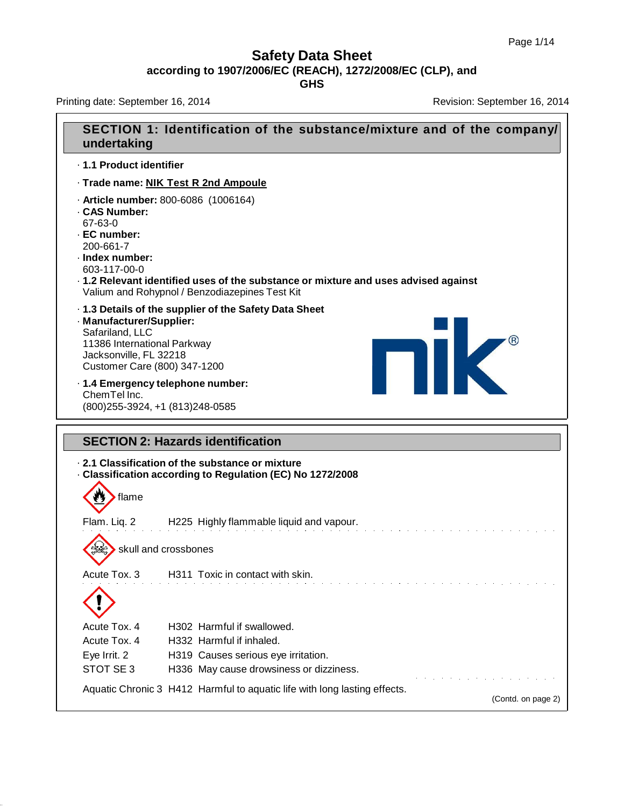Printing date: September 16, 2014 **Revision: September 16, 2014** Revision: September 16, 2014

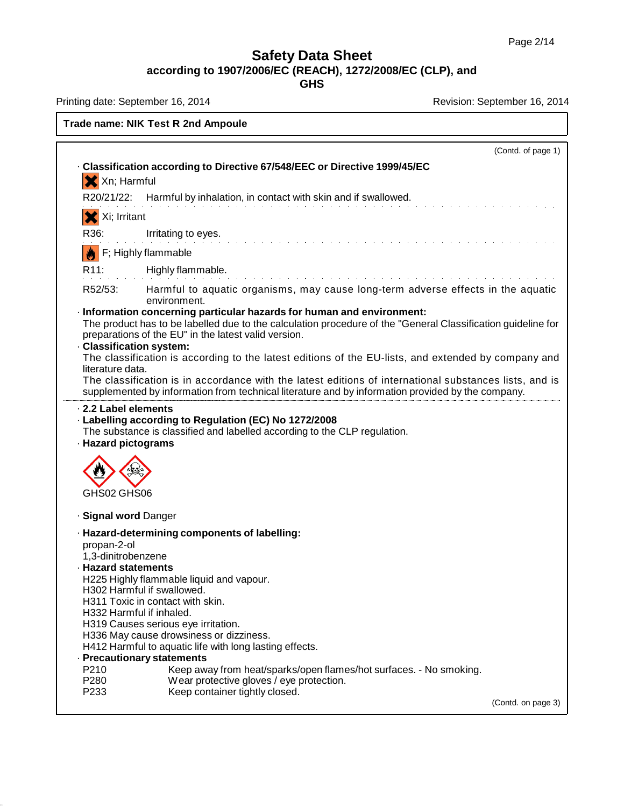**GHS**

Printing date: September 16, 2014 **Revision: September 16, 2014** Revision: September 16, 2014

### **Trade name: NIK Test R 2nd Ampoule**

|                                                                                         |                                                                                                                                                                                                                                                                                                                                                                                                                                                                                                                        | (Contd. of page 1) |
|-----------------------------------------------------------------------------------------|------------------------------------------------------------------------------------------------------------------------------------------------------------------------------------------------------------------------------------------------------------------------------------------------------------------------------------------------------------------------------------------------------------------------------------------------------------------------------------------------------------------------|--------------------|
|                                                                                         | Classification according to Directive 67/548/EEC or Directive 1999/45/EC                                                                                                                                                                                                                                                                                                                                                                                                                                               |                    |
| X Xn; Harmful                                                                           |                                                                                                                                                                                                                                                                                                                                                                                                                                                                                                                        |                    |
| R20/21/22:                                                                              | Harmful by inhalation, in contact with skin and if swallowed.                                                                                                                                                                                                                                                                                                                                                                                                                                                          |                    |
| Xi; Irritant                                                                            |                                                                                                                                                                                                                                                                                                                                                                                                                                                                                                                        |                    |
| R36:                                                                                    | Irritating to eyes.                                                                                                                                                                                                                                                                                                                                                                                                                                                                                                    |                    |
|                                                                                         | F; Highly flammable                                                                                                                                                                                                                                                                                                                                                                                                                                                                                                    |                    |
| R <sub>11</sub> :                                                                       | Highly flammable.                                                                                                                                                                                                                                                                                                                                                                                                                                                                                                      |                    |
| R52/53:                                                                                 | Harmful to aquatic organisms, may cause long-term adverse effects in the aquatic<br>environment.                                                                                                                                                                                                                                                                                                                                                                                                                       |                    |
|                                                                                         | · Information concerning particular hazards for human and environment:<br>The product has to be labelled due to the calculation procedure of the "General Classification guideline for<br>preparations of the EU" in the latest valid version.                                                                                                                                                                                                                                                                         |                    |
| <b>Classification system:</b><br>literature data.                                       | The classification is according to the latest editions of the EU-lists, and extended by company and                                                                                                                                                                                                                                                                                                                                                                                                                    |                    |
|                                                                                         | The classification is in accordance with the latest editions of international substances lists, and is<br>supplemented by information from technical literature and by information provided by the company.                                                                                                                                                                                                                                                                                                            |                    |
| GHS02 GHS06                                                                             |                                                                                                                                                                                                                                                                                                                                                                                                                                                                                                                        |                    |
| · Signal word Danger                                                                    |                                                                                                                                                                                                                                                                                                                                                                                                                                                                                                                        |                    |
| propan-2-ol<br>1,3-dinitrobenzene<br><b>· Hazard statements</b><br>P210<br>P280<br>P233 | · Hazard-determining components of labelling:<br>H225 Highly flammable liquid and vapour.<br>H302 Harmful if swallowed.<br>H311 Toxic in contact with skin.<br>H332 Harmful if inhaled.<br>H319 Causes serious eye irritation.<br>H336 May cause drowsiness or dizziness.<br>H412 Harmful to aquatic life with long lasting effects.<br>- Precautionary statements<br>Keep away from heat/sparks/open flames/hot surfaces. - No smoking.<br>Wear protective gloves / eye protection.<br>Keep container tightly closed. |                    |
|                                                                                         |                                                                                                                                                                                                                                                                                                                                                                                                                                                                                                                        | (Contd. on page 3) |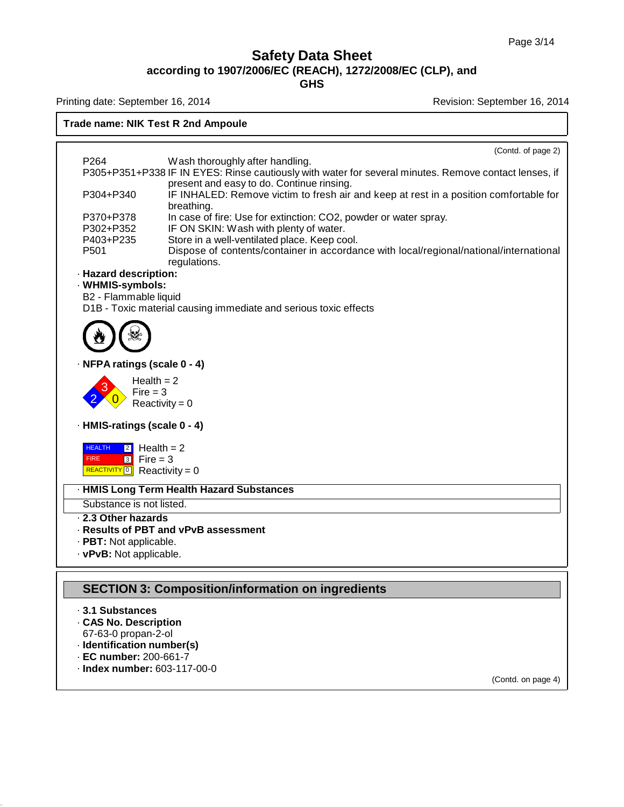**GHS**

Printing date: September 16, 2014 **Revision: September 16, 2014** Revision: September 16, 2014

### **Trade name: NIK Test R 2nd Ampoule**

|                                                   | (Contd. of page 2)                                                                                                                                     |
|---------------------------------------------------|--------------------------------------------------------------------------------------------------------------------------------------------------------|
| P <sub>264</sub>                                  | Wash thoroughly after handling.                                                                                                                        |
|                                                   | P305+P351+P338 IF IN EYES: Rinse cautiously with water for several minutes. Remove contact lenses, if<br>present and easy to do. Continue rinsing.     |
| P304+P340                                         | IF INHALED: Remove victim to fresh air and keep at rest in a position comfortable for<br>breathing.                                                    |
| P370+P378                                         | In case of fire: Use for extinction: CO2, powder or water spray.                                                                                       |
| P302+P352                                         | IF ON SKIN: Wash with plenty of water.                                                                                                                 |
| P403+P235<br>P501                                 | Store in a well-ventilated place. Keep cool.<br>Dispose of contents/container in accordance with local/regional/national/international<br>regulations. |
| - Hazard description:                             |                                                                                                                                                        |
| · WHMIS-symbols:                                  |                                                                                                                                                        |
| B2 - Flammable liquid                             |                                                                                                                                                        |
|                                                   | D1B - Toxic material causing immediate and serious toxic effects                                                                                       |
|                                                   |                                                                                                                                                        |
|                                                   |                                                                                                                                                        |
| · NFPA ratings (scale 0 - 4)                      |                                                                                                                                                        |
| Health $= 2$                                      |                                                                                                                                                        |
| $Fire = 3$                                        |                                                                                                                                                        |
|                                                   | Reactivity = $0$                                                                                                                                       |
| · HMIS-ratings (scale 0 - 4)                      |                                                                                                                                                        |
| <b>HEALTH</b><br>$\sqrt{2}$ Health = 2            |                                                                                                                                                        |
| <b>FIRE</b><br>$3$ Fire = 3                       |                                                                                                                                                        |
| <b>REACTIVITY</b> $\boxed{0}$ Reactivity = 0      |                                                                                                                                                        |
|                                                   | · HMIS Long Term Health Hazard Substances                                                                                                              |
| Substance is not listed.                          |                                                                                                                                                        |
| 2.3 Other hazards                                 |                                                                                                                                                        |
|                                                   | . Results of PBT and vPvB assessment                                                                                                                   |
| · PBT: Not applicable.<br>· vPvB: Not applicable. |                                                                                                                                                        |
|                                                   |                                                                                                                                                        |
|                                                   |                                                                                                                                                        |
|                                                   | <b>SECTION 3: Composition/information on ingredients</b>                                                                                               |
| 3.1 Substances                                    |                                                                                                                                                        |
| <b>CAS No. Description</b>                        |                                                                                                                                                        |
| 67-63-0 propan-2-ol<br>· Identification number(s) |                                                                                                                                                        |
| $\cdot$ EC number: 200-661-7                      |                                                                                                                                                        |
| · Index number: 603-117-00-0                      |                                                                                                                                                        |

(Contd. on page 4)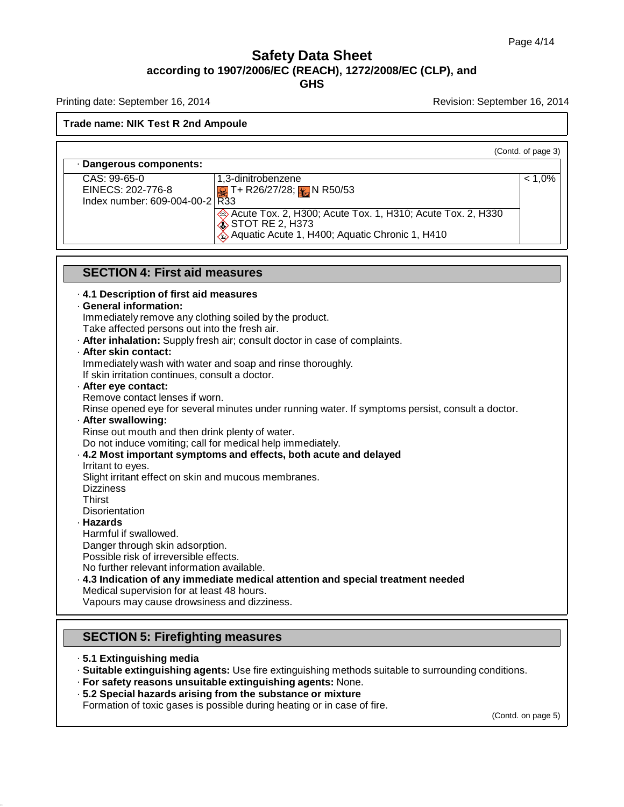Printing date: September 16, 2014 **Revision: September 16, 2014** Revision: September 16, 2014

### **Trade name: NIK Test R 2nd Ampoule**

|                                                                       |                                                                                                                                                | (Contd. of page 3) |
|-----------------------------------------------------------------------|------------------------------------------------------------------------------------------------------------------------------------------------|--------------------|
| · Dangerous components:                                               |                                                                                                                                                |                    |
| $CAS: 99-65-0$<br>EINECS: 202-776-8<br>Index number: 609-004-00-2 R33 | 1.3-dinitrobenzene<br><b>C</b> T+ R26/27/28; <b>X</b> N R50/53                                                                                 | በ%                 |
|                                                                       | Acute Tox. 2, H300; Acute Tox. 1, H310; Acute Tox. 2, H330<br>$\diamondsuit$ STOT RE 2, H373<br>Aquatic Acute 1, H400; Aquatic Chronic 1, H410 |                    |

# **SECTION 4: First aid measures**

· **4.1 Description of first aid measures**

### · **General information:**

Immediately remove any clothing soiled by the product. Take affected persons out into the fresh air.

- · **After inhalation:** Supply fresh air; consult doctor in case of complaints.
- · **After skin contact:**

Immediately wash with water and soap and rinse thoroughly. If skin irritation continues, consult a doctor.

· **After eye contact:**

Remove contact lenses if worn.

Rinse opened eye for several minutes under running water. If symptoms persist, consult a doctor.

· **After swallowing:**

Rinse out mouth and then drink plenty of water.

Do not induce vomiting; call for medical help immediately.

- · **4.2 Most important symptoms and effects, both acute and delayed**
- Irritant to eyes.

Slight irritant effect on skin and mucous membranes.

**Dizziness** 

Thirst

**Disorientation** 

· **Hazards**

Harmful if swallowed.

Danger through skin adsorption.

Possible risk of irreversible effects.

No further relevant information available.

· **4.3 Indication of any immediate medical attention and special treatment needed**

Medical supervision for at least 48 hours.

Vapours may cause drowsiness and dizziness.

### **SECTION 5: Firefighting measures**

- · **5.1 Extinguishing media**
- · **Suitable extinguishing agents:** Use fire extinguishing methods suitable to surrounding conditions.
- · **For safety reasons unsuitable extinguishing agents:** None.
- · **5.2 Special hazards arising from the substance or mixture**

Formation of toxic gases is possible during heating or in case of fire.

(Contd. on page 5)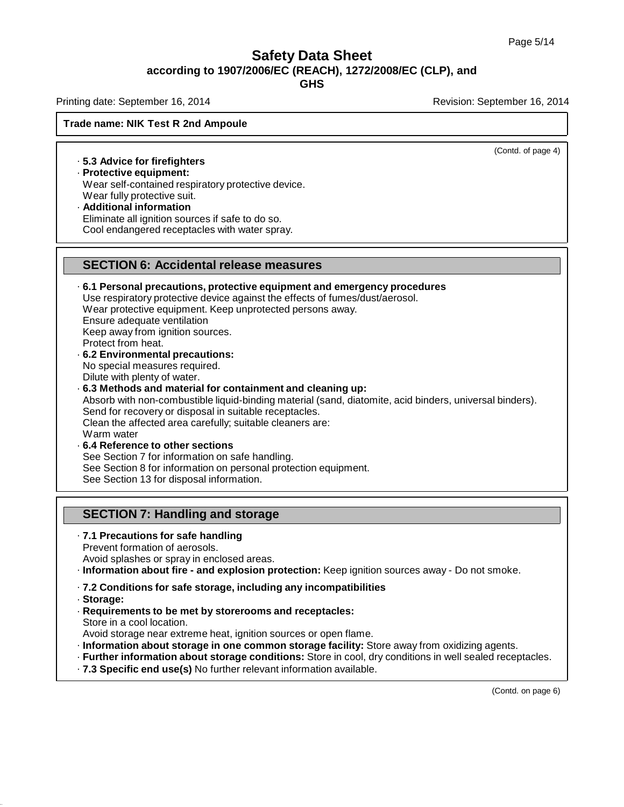Printing date: September 16, 2014 **Revision: September 16, 2014** Revision: September 16, 2014

### **Trade name: NIK Test R 2nd Ampoule**

(Contd. of page 4)

· **5.3 Advice for firefighters**

· **Protective equipment:** Wear self-contained respiratory protective device. Wear fully protective suit.

· **Additional information** Eliminate all ignition sources if safe to do so. Cool endangered receptacles with water spray.

### **SECTION 6: Accidental release measures**

· **6.1 Personal precautions, protective equipment and emergency procedures** Use respiratory protective device against the effects of fumes/dust/aerosol. Wear protective equipment. Keep unprotected persons away. Ensure adequate ventilation Keep away from ignition sources. Protect from heat. · **6.2 Environmental precautions:** No special measures required. Dilute with plenty of water.

· **6.3 Methods and material for containment and cleaning up:** Absorb with non-combustible liquid-binding material (sand, diatomite, acid binders, universal binders). Send for recovery or disposal in suitable receptacles. Clean the affected area carefully; suitable cleaners are: Warm water · **6.4 Reference to other sections** See Section 7 for information on safe handling.

See Section 8 for information on personal protection equipment.

See Section 13 for disposal information.

### **SECTION 7: Handling and storage**

· **7.1 Precautions for safe handling**

Prevent formation of aerosols.

Avoid splashes or spray in enclosed areas.

· **Information about fire - and explosion protection:** Keep ignition sources away - Do not smoke.

- · **7.2 Conditions for safe storage, including any incompatibilities**
- · **Storage:**
- · **Requirements to be met by storerooms and receptacles:** Store in a cool location.
- Avoid storage near extreme heat, ignition sources or open flame.
- · **Information about storage in one common storage facility:** Store away from oxidizing agents.
- · **Further information about storage conditions:** Store in cool, dry conditions in well sealed receptacles.
- · **7.3 Specific end use(s)** No further relevant information available.

(Contd. on page 6)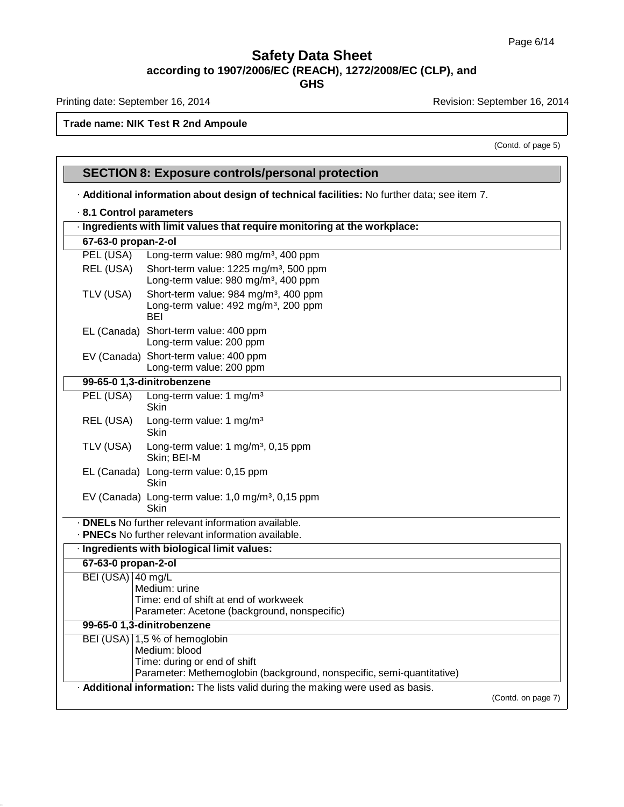**GHS**

Printing date: September 16, 2014 **Revision: September 16, 2014** Revision: September 16, 2014

Г

### **Trade name: NIK Test R 2nd Ampoule**

(Contd. of page 5)

|                                                                           | <b>SECTION 8: Exposure controls/personal protection</b>                                                                                                 |                    |  |  |
|---------------------------------------------------------------------------|---------------------------------------------------------------------------------------------------------------------------------------------------------|--------------------|--|--|
|                                                                           | - Additional information about design of technical facilities: No further data; see item 7.                                                             |                    |  |  |
| 8.1 Control parameters                                                    |                                                                                                                                                         |                    |  |  |
| · Ingredients with limit values that require monitoring at the workplace: |                                                                                                                                                         |                    |  |  |
| 67-63-0 propan-2-ol                                                       |                                                                                                                                                         |                    |  |  |
| PEL (USA)                                                                 | Long-term value: 980 mg/m <sup>3</sup> , 400 ppm                                                                                                        |                    |  |  |
| REL (USA)                                                                 | Short-term value: 1225 mg/m <sup>3</sup> , 500 ppm<br>Long-term value: 980 mg/m <sup>3</sup> , 400 ppm                                                  |                    |  |  |
| TLV (USA)                                                                 | Short-term value: 984 mg/m <sup>3</sup> , 400 ppm<br>Long-term value: 492 mg/m <sup>3</sup> , 200 ppm<br><b>BEI</b>                                     |                    |  |  |
|                                                                           | EL (Canada) Short-term value: 400 ppm<br>Long-term value: 200 ppm                                                                                       |                    |  |  |
|                                                                           | EV (Canada) Short-term value: 400 ppm<br>Long-term value: 200 ppm                                                                                       |                    |  |  |
|                                                                           | 99-65-0 1,3-dinitrobenzene                                                                                                                              |                    |  |  |
| PEL (USA)                                                                 | Long-term value: 1 mg/m <sup>3</sup><br><b>Skin</b>                                                                                                     |                    |  |  |
| REL (USA)                                                                 | Long-term value: 1 mg/m <sup>3</sup><br>Skin                                                                                                            |                    |  |  |
| TLV (USA)                                                                 | Long-term value: 1 mg/m <sup>3</sup> , 0,15 ppm<br>Skin; BEI-M                                                                                          |                    |  |  |
|                                                                           | EL (Canada) Long-term value: 0,15 ppm<br>Skin                                                                                                           |                    |  |  |
|                                                                           | EV (Canada) Long-term value: 1,0 mg/m <sup>3</sup> , 0,15 ppm<br>Skin                                                                                   |                    |  |  |
|                                                                           | · <b>DNELs</b> No further relevant information available.                                                                                               |                    |  |  |
|                                                                           | . PNECs No further relevant information available.                                                                                                      |                    |  |  |
|                                                                           | · Ingredients with biological limit values:                                                                                                             |                    |  |  |
| 67-63-0 propan-2-ol                                                       |                                                                                                                                                         |                    |  |  |
| BEI (USA) 40 mg/L                                                         | Medium: urine<br>Time: end of shift at end of workweek<br>Parameter: Acetone (background, nonspecific)                                                  |                    |  |  |
|                                                                           | 99-65-0 1,3-dinitrobenzene                                                                                                                              |                    |  |  |
|                                                                           | BEI (USA) 1,5 % of hemoglobin<br>Medium: blood<br>Time: during or end of shift<br>Parameter: Methemoglobin (background, nonspecific, semi-quantitative) |                    |  |  |
|                                                                           | . Additional information: The lists valid during the making were used as basis.                                                                         | (Contd. on page 7) |  |  |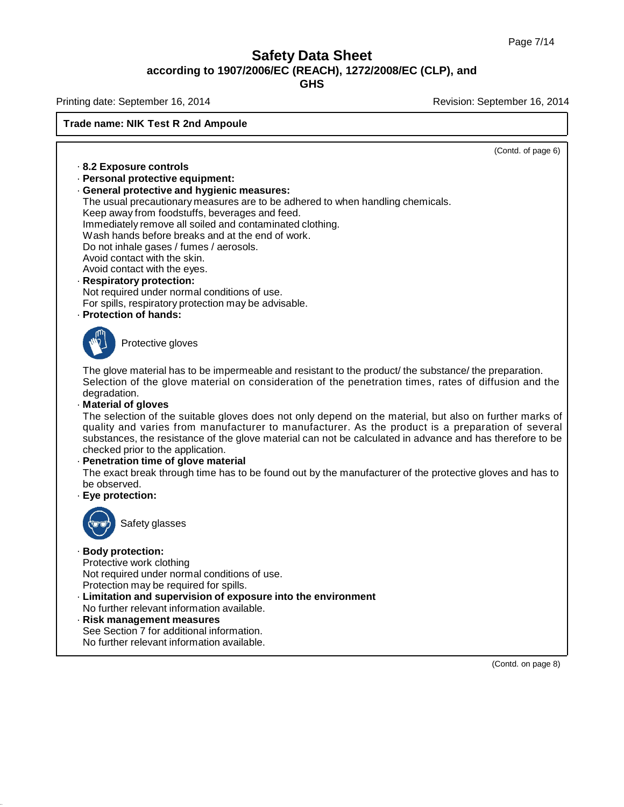Printing date: September 16, 2014 **Revision: September 16, 2014** Revision: September 16, 2014

### **Trade name: NIK Test R 2nd Ampoule**

· **8.2 Exposure controls** · **Personal protective equipment:** · **General protective and hygienic measures:** The usual precautionary measures are to be adhered to when handling chemicals. Keep away from foodstuffs, beverages and feed. Immediately remove all soiled and contaminated clothing. Wash hands before breaks and at the end of work. Do not inhale gases / fumes / aerosols. Avoid contact with the skin. Avoid contact with the eyes. · **Respiratory protection:** Not required under normal conditions of use. For spills, respiratory protection may be advisable. · **Protection of hands:** Protective gloves (Contd. of page 6) The glove material has to be impermeable and resistant to the product/ the substance/ the preparation. Selection of the glove material on consideration of the penetration times, rates of diffusion and the degradation. · **Material of gloves** The selection of the suitable gloves does not only depend on the material, but also on further marks of quality and varies from manufacturer to manufacturer. As the product is a preparation of several substances, the resistance of the glove material can not be calculated in advance and has therefore to be checked prior to the application. · **Penetration time of glove material** The exact break through time has to be found out by the manufacturer of the protective gloves and has to be observed. · **Eye protection:** Safety glasses · **Body protection:** Protective work clothing Not required under normal conditions of use. Protection may be required for spills. · **Limitation and supervision of exposure into the environment** No further relevant information available. · **Risk management measures** See Section 7 for additional information. No further relevant information available.

(Contd. on page 8)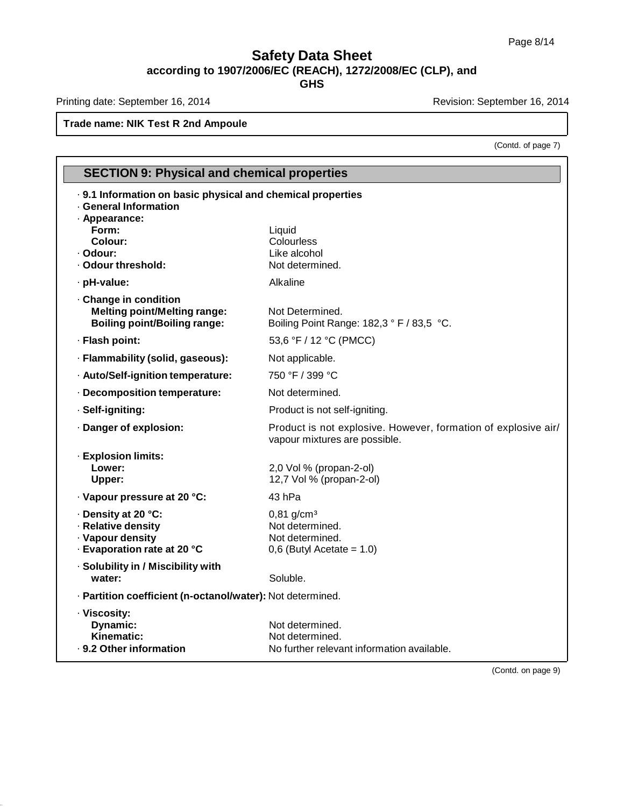Printing date: September 16, 2014 **Revision: September 16, 2014** Revision: September 16, 2014

### **Trade name: NIK Test R 2nd Ampoule**

(Contd. of page 7)

| <b>SECTION 9: Physical and chemical properties</b>                                                                                                               |                                                                                                 |  |  |  |
|------------------------------------------------------------------------------------------------------------------------------------------------------------------|-------------------------------------------------------------------------------------------------|--|--|--|
| · 9.1 Information on basic physical and chemical properties<br><b>General Information</b><br>· Appearance:<br>Form:<br>Colour:<br>· Odour:<br>· Odour threshold: | Liquid<br>Colourless<br>Like alcohol<br>Not determined.                                         |  |  |  |
| · pH-value:                                                                                                                                                      | Alkaline                                                                                        |  |  |  |
| · Change in condition<br><b>Melting point/Melting range:</b><br><b>Boiling point/Boiling range:</b>                                                              | Not Determined.<br>Boiling Point Range: 182,3 ° F / 83,5 °C.                                    |  |  |  |
| · Flash point:                                                                                                                                                   | 53,6 °F / 12 °C (PMCC)                                                                          |  |  |  |
| · Flammability (solid, gaseous):                                                                                                                                 | Not applicable.                                                                                 |  |  |  |
| · Auto/Self-ignition temperature:                                                                                                                                | 750 °F / 399 °C                                                                                 |  |  |  |
| · Decomposition temperature:                                                                                                                                     | Not determined.                                                                                 |  |  |  |
| · Self-igniting:                                                                                                                                                 | Product is not self-igniting.                                                                   |  |  |  |
| · Danger of explosion:                                                                                                                                           | Product is not explosive. However, formation of explosive air/<br>vapour mixtures are possible. |  |  |  |
| · Explosion limits:<br>Lower:<br>Upper:                                                                                                                          | 2,0 Vol % (propan-2-ol)<br>12,7 Vol % (propan-2-ol)                                             |  |  |  |
| · Vapour pressure at 20 °C:                                                                                                                                      | 43 hPa                                                                                          |  |  |  |
| · Density at 20 °C:<br>· Relative density<br>· Vapour density<br>- Evaporation rate at 20 °C                                                                     | $0,81$ g/cm <sup>3</sup><br>Not determined.<br>Not determined.<br>$0,6$ (Butyl Acetate = 1.0)   |  |  |  |
| · Solubility in / Miscibility with<br>water:                                                                                                                     | Soluble.                                                                                        |  |  |  |
| · Partition coefficient (n-octanol/water): Not determined.                                                                                                       |                                                                                                 |  |  |  |
| · Viscosity:<br>Dynamic:<br>Kinematic:<br>· 9.2 Other information                                                                                                | Not determined.<br>Not determined.<br>No further relevant information available.                |  |  |  |

(Contd. on page 9)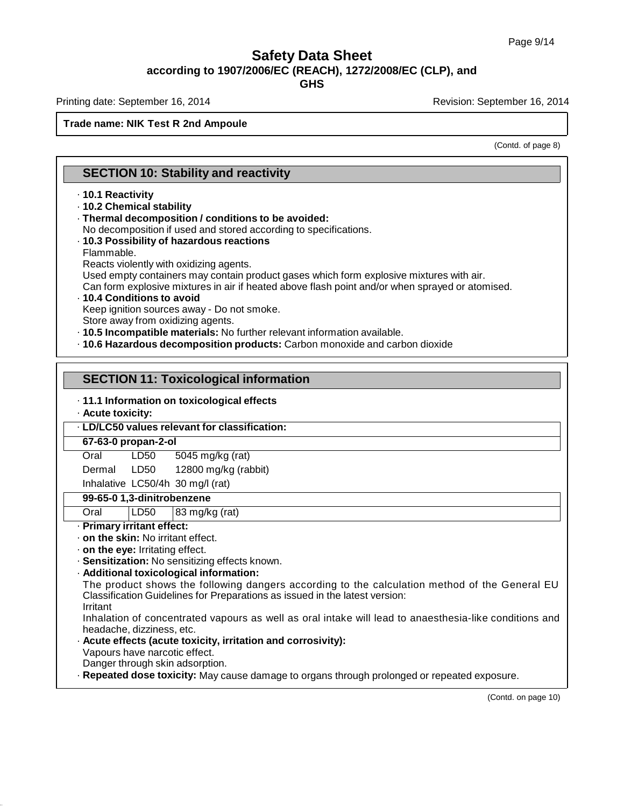Printing date: September 16, 2014 **Revision: September 16, 2014** Revision: September 16, 2014

### **Trade name: NIK Test R 2nd Ampoule**

(Contd. of page 8)

### **SECTION 10: Stability and reactivity**

### · **10.1 Reactivity**

- · **10.2 Chemical stability**
- · **Thermal decomposition / conditions to be avoided:**

No decomposition if used and stored according to specifications.

· **10.3 Possibility of hazardous reactions** Flammable.

Reacts violently with oxidizing agents.

Used empty containers may contain product gases which form explosive mixtures with air.

Can form explosive mixtures in air if heated above flash point and/or when sprayed or atomised.

· **10.4 Conditions to avoid**

Keep ignition sources away - Do not smoke.

Store away from oxidizing agents.

- · **10.5 Incompatible materials:** No further relevant information available.
- · **10.6 Hazardous decomposition products:** Carbon monoxide and carbon dioxide

### **SECTION 11: Toxicological information**

### · **11.1 Information on toxicological effects**

· **Acute toxicity:**

### · **LD/LC50 values relevant for classification:**

### **67-63-0 propan-2-ol**

### **Oral** LD50 5045 mg/kg (rat)

Dermal LD50 12800 mg/kg (rabbit)

### Inhalative LC50/4h 30 mg/l (rat)

### **99-65-0 1,3-dinitrobenzene**

Oral LD50 83 mg/kg (rat)

### · **Primary irritant effect:**

- · **on the skin:** No irritant effect.
- · **on the eye:** Irritating effect.
- · **Sensitization:** No sensitizing effects known.
- · **Additional toxicological information:**

The product shows the following dangers according to the calculation method of the General EU Classification Guidelines for Preparations as issued in the latest version: Irritant

Inhalation of concentrated vapours as well as oral intake will lead to anaesthesia-like conditions and headache, dizziness, etc.

- · **Acute effects (acute toxicity, irritation and corrosivity):** Vapours have narcotic effect.
- Danger through skin adsorption.
- · **Repeated dose toxicity:** May cause damage to organs through prolonged or repeated exposure.

(Contd. on page 10)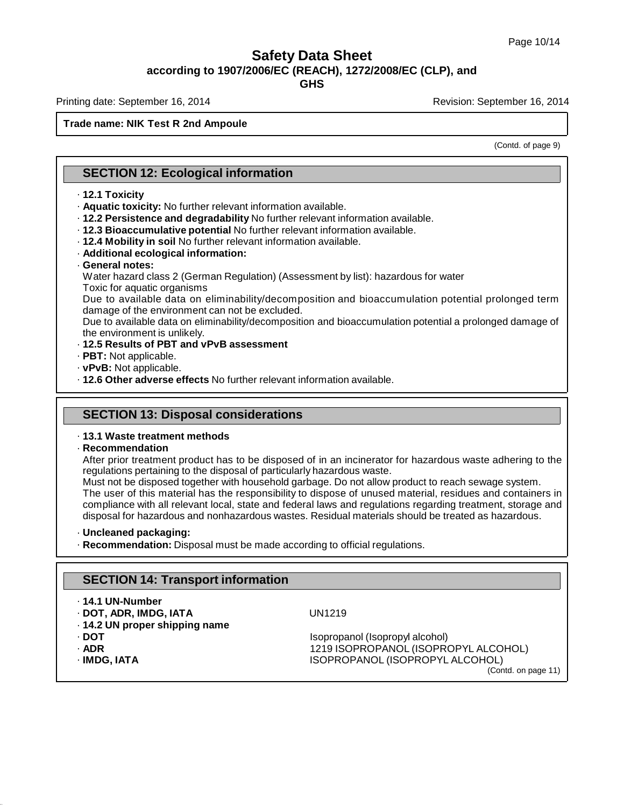**GHS**

Printing date: September 16, 2014 **Revision: September 16, 2014** Revision: September 16, 2014

### **Trade name: NIK Test R 2nd Ampoule**

(Contd. of page 9)

### **SECTION 12: Ecological information**

### · **12.1 Toxicity**

- · **Aquatic toxicity:** No further relevant information available.
- · **12.2 Persistence and degradability** No further relevant information available.
- · **12.3 Bioaccumulative potential** No further relevant information available.
- · **12.4 Mobility in soil** No further relevant information available.
- · **Additional ecological information:**
- · **General notes:**
- Water hazard class 2 (German Regulation) (Assessment by list): hazardous for water Toxic for aquatic organisms

Due to available data on eliminability/decomposition and bioaccumulation potential prolonged term damage of the environment can not be excluded.

Due to available data on eliminability/decomposition and bioaccumulation potential a prolonged damage of the environment is unlikely.

- · **12.5 Results of PBT and vPvB assessment**
- · **PBT:** Not applicable.
- · **vPvB:** Not applicable.
- · **12.6 Other adverse effects** No further relevant information available.

### **SECTION 13: Disposal considerations**

### · **13.1 Waste treatment methods**

### · **Recommendation**

After prior treatment product has to be disposed of in an incinerator for hazardous waste adhering to the regulations pertaining to the disposal of particularly hazardous waste.

Must not be disposed together with household garbage. Do not allow product to reach sewage system. The user of this material has the responsibility to dispose of unused material, residues and containers in compliance with all relevant local, state and federal laws and regulations regarding treatment, storage and disposal for hazardous and nonhazardous wastes. Residual materials should be treated as hazardous.

### · **Uncleaned packaging:**

· **Recommendation:** Disposal must be made according to official regulations.

### **SECTION 14: Transport information**

### · **14.1 UN-Number**

· **DOT, ADR, IMDG, IATA** UN1219 · **14.2 UN proper shipping name**

- 
- 
- 

· **DOT** Isopropanol (Isopropyl alcohol) · **ADR** 1219 ISOPROPANOL (ISOPROPYL ALCOHOL) · **IMDG, IATA** ISOPROPANOL (ISOPROPYL ALCOHOL) (Contd. on page 11)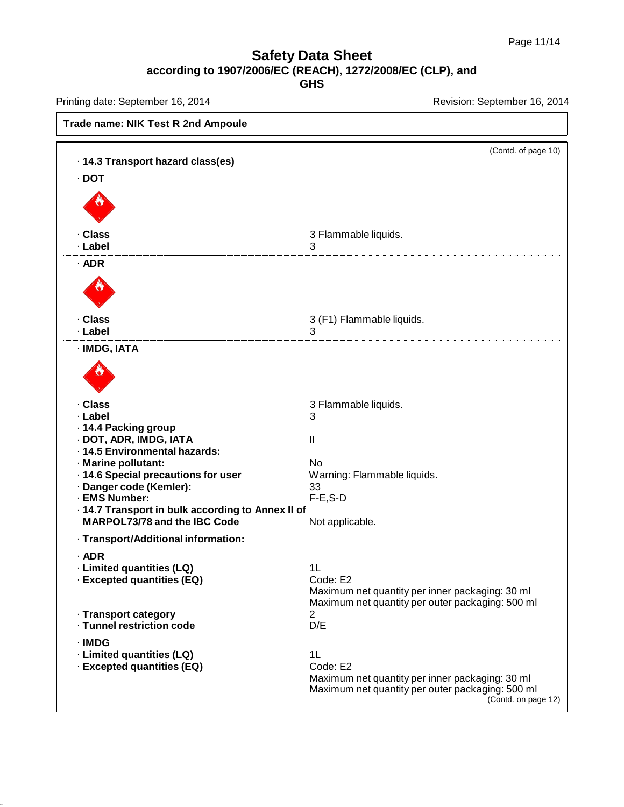Printing date: September 16, 2014 **Revision: September 16, 2014** Revision: September 16, 2014

| Trade name: NIK Test R 2nd Ampoule                                                                                                                                                                                                                                                                   |                                                                                                                                                            |  |  |
|------------------------------------------------------------------------------------------------------------------------------------------------------------------------------------------------------------------------------------------------------------------------------------------------------|------------------------------------------------------------------------------------------------------------------------------------------------------------|--|--|
| · 14.3 Transport hazard class(es)<br>$\cdot$ DOT                                                                                                                                                                                                                                                     | (Contd. of page 10)                                                                                                                                        |  |  |
| · Class<br>· Label<br>$\cdot$ ADR                                                                                                                                                                                                                                                                    | 3 Flammable liquids.<br>3                                                                                                                                  |  |  |
| · Class<br>· Label                                                                                                                                                                                                                                                                                   | 3 (F1) Flammable liquids.<br>3                                                                                                                             |  |  |
| · IMDG, IATA                                                                                                                                                                                                                                                                                         |                                                                                                                                                            |  |  |
| · Class<br>· Label<br>- 14.4 Packing group<br>· DOT, ADR, IMDG, IATA<br>· 14.5 Environmental hazards:<br>· Marine pollutant:<br>· 14.6 Special precautions for user<br>· Danger code (Kemler):<br>· EMS Number:<br>- 14.7 Transport in bulk according to Annex II of<br>MARPOL73/78 and the IBC Code | 3 Flammable liquids.<br>3<br>Ш<br><b>No</b><br>Warning: Flammable liquids.<br>33<br>$F-E$ , $S-D$<br>Not applicable.                                       |  |  |
| · Transport/Additional information:<br>$·$ ADR<br>· Limited quantities (LQ)<br>· Excepted quantities (EQ)<br>· Transport category<br>· Tunnel restriction code                                                                                                                                       | 1 <sub>L</sub><br>Code: E2<br>Maximum net quantity per inner packaging: 30 ml<br>Maximum net quantity per outer packaging: 500 ml<br>$\overline{2}$<br>D/E |  |  |
| · IMDG<br>· Limited quantities (LQ)<br>· Excepted quantities (EQ)                                                                                                                                                                                                                                    | 1L<br>Code: E2<br>Maximum net quantity per inner packaging: 30 ml<br>Maximum net quantity per outer packaging: 500 ml<br>(Contd. on page 12)               |  |  |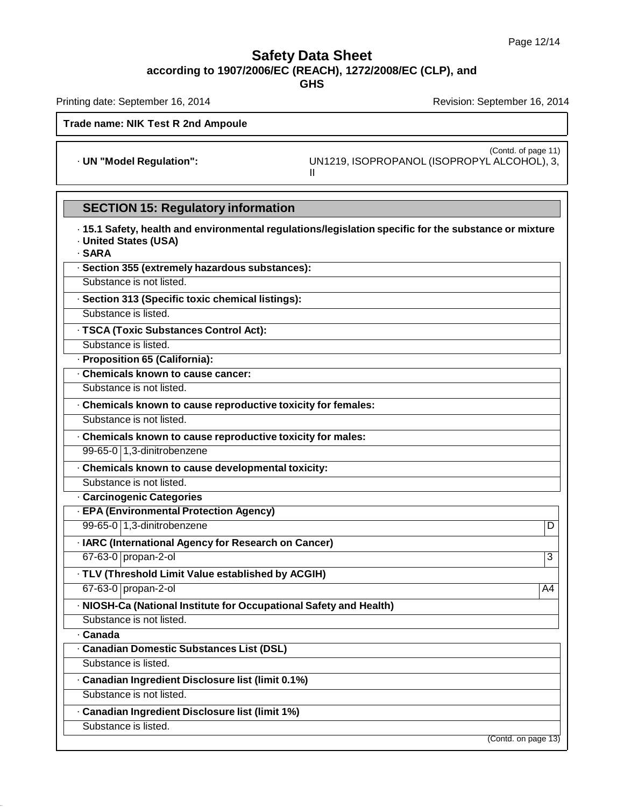**GHS**

Printing date: September 16, 2014 **Revision: September 16, 2014** Revision: September 16, 2014

### **Trade name: NIK Test R 2nd Ampoule**

(Contd. of page 11) · **UN "Model Regulation":** UN1219, ISOPROPANOL (ISOPROPYL ALCOHOL), 3, II

# **SECTION 15: Regulatory information**

| · 15.1 Safety, health and environmental regulations/legislation specific for the substance or mixture<br><b>United States (USA)</b><br>· SARA |                     |
|-----------------------------------------------------------------------------------------------------------------------------------------------|---------------------|
| · Section 355 (extremely hazardous substances):                                                                                               |                     |
| Substance is not listed.                                                                                                                      |                     |
| · Section 313 (Specific toxic chemical listings):                                                                                             |                     |
| Substance is listed.                                                                                                                          |                     |
| · TSCA (Toxic Substances Control Act):                                                                                                        |                     |
| Substance is listed.                                                                                                                          |                     |
| · Proposition 65 (California):                                                                                                                |                     |
| · Chemicals known to cause cancer:                                                                                                            |                     |
| Substance is not listed.                                                                                                                      |                     |
| . Chemicals known to cause reproductive toxicity for females:                                                                                 |                     |
| Substance is not listed.                                                                                                                      |                     |
| . Chemicals known to cause reproductive toxicity for males:                                                                                   |                     |
| 99-65-0 1,3-dinitrobenzene                                                                                                                    |                     |
| · Chemicals known to cause developmental toxicity:                                                                                            |                     |
| Substance is not listed.                                                                                                                      |                     |
| · Carcinogenic Categories                                                                                                                     |                     |
| · EPA (Environmental Protection Agency)                                                                                                       |                     |
| 99-65-0 1,3-dinitrobenzene                                                                                                                    | D                   |
| · IARC (International Agency for Research on Cancer)                                                                                          |                     |
| 67-63-0 propan-2-ol                                                                                                                           | $\overline{3}$      |
| · TLV (Threshold Limit Value established by ACGIH)                                                                                            |                     |
| 67-63-0 propan-2-ol                                                                                                                           | A4                  |
| · NIOSH-Ca (National Institute for Occupational Safety and Health)                                                                            |                     |
| Substance is not listed.                                                                                                                      |                     |
| · Canada                                                                                                                                      |                     |
| - Canadian Domestic Substances List (DSL)                                                                                                     |                     |
| Substance is listed.                                                                                                                          |                     |
| · Canadian Ingredient Disclosure list (limit 0.1%)                                                                                            |                     |
| Substance is not listed.                                                                                                                      |                     |
| · Canadian Ingredient Disclosure list (limit 1%)                                                                                              |                     |
| Substance is listed.                                                                                                                          |                     |
|                                                                                                                                               | (Contd. on page 13) |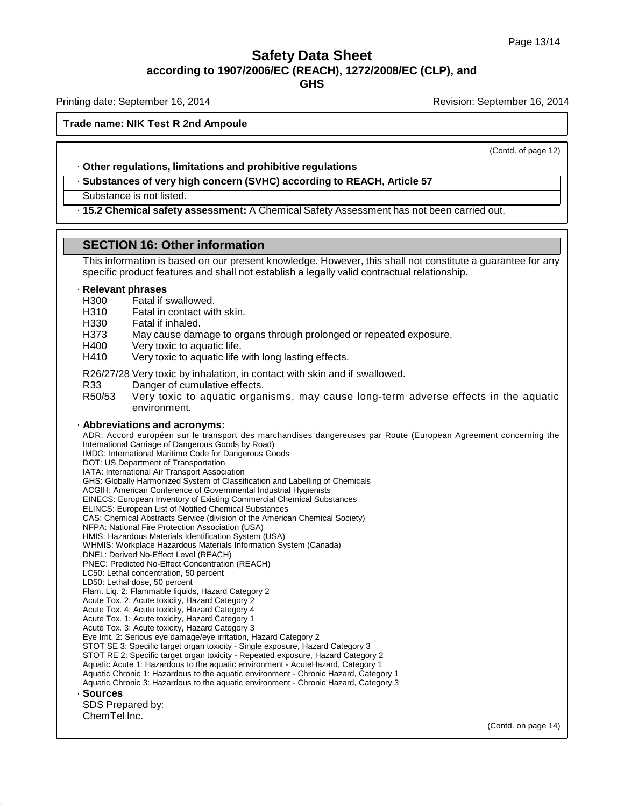**GHS**

Printing date: September 16, 2014 **Revision: September 16, 2014** Revision: September 16, 2014

### **Trade name: NIK Test R 2nd Ampoule**

(Contd. of page 12)

### · **Other regulations, limitations and prohibitive regulations**

· **Substances of very high concern (SVHC) according to REACH, Article 57**

Substance is not listed.

· **15.2 Chemical safety assessment:** A Chemical Safety Assessment has not been carried out.

### **SECTION 16: Other information**

This information is based on our present knowledge. However, this shall not constitute a guarantee for any specific product features and shall not establish a legally valid contractual relationship. · **Relevant phrases** H300 Fatal if swallowed. H310 Fatal in contact with skin. H330 Fatal if inhaled. H373 May cause damage to organs through prolonged or repeated exposure. H400 Very toxic to aquatic life. H410 Very toxic to aquatic life with long lasting effects. R26/27/28 Very toxic by inhalation, in contact with skin and if swallowed. R33 Danger of cumulative effects. R50/53 Very toxic to aquatic organisms, may cause long-term adverse effects in the aquatic environment. · **Abbreviations and acronyms:** ADR: Accord européen sur le transport des marchandises dangereuses par Route (European Agreement concerning the International Carriage of Dangerous Goods by Road) IMDG: International Maritime Code for Dangerous Goods DOT: US Department of Transportation IATA: International Air Transport Association GHS: Globally Harmonized System of Classification and Labelling of Chemicals ACGIH: American Conference of Governmental Industrial Hygienists EINECS: European Inventory of Existing Commercial Chemical Substances ELINCS: European List of Notified Chemical Substances CAS: Chemical Abstracts Service (division of the American Chemical Society) NFPA: National Fire Protection Association (USA) HMIS: Hazardous Materials Identification System (USA) WHMIS: Workplace Hazardous Materials Information System (Canada) DNEL: Derived No-Effect Level (REACH) PNEC: Predicted No-Effect Concentration (REACH) LC50: Lethal concentration, 50 percent LD50: Lethal dose, 50 percent Flam. Liq. 2: Flammable liquids, Hazard Category 2 Acute Tox. 2: Acute toxicity, Hazard Category 2 Acute Tox. 4: Acute toxicity, Hazard Category 4 Acute Tox. 1: Acute toxicity, Hazard Category 1 Acute Tox. 3: Acute toxicity, Hazard Category 3 Eye Irrit. 2: Serious eye damage/eye irritation, Hazard Category 2 STOT SE 3: Specific target organ toxicity - Single exposure, Hazard Category 3 STOT RE 2: Specific target organ toxicity - Repeated exposure, Hazard Category 2 Aquatic Acute 1: Hazardous to the aquatic environment - AcuteHazard, Category 1 Aquatic Chronic 1: Hazardous to the aquatic environment - Chronic Hazard, Category 1 Aquatic Chronic 3: Hazardous to the aquatic environment - Chronic Hazard, Category 3 · **Sources** SDS Prepared by: ChemTel Inc. (Contd. on page 14)